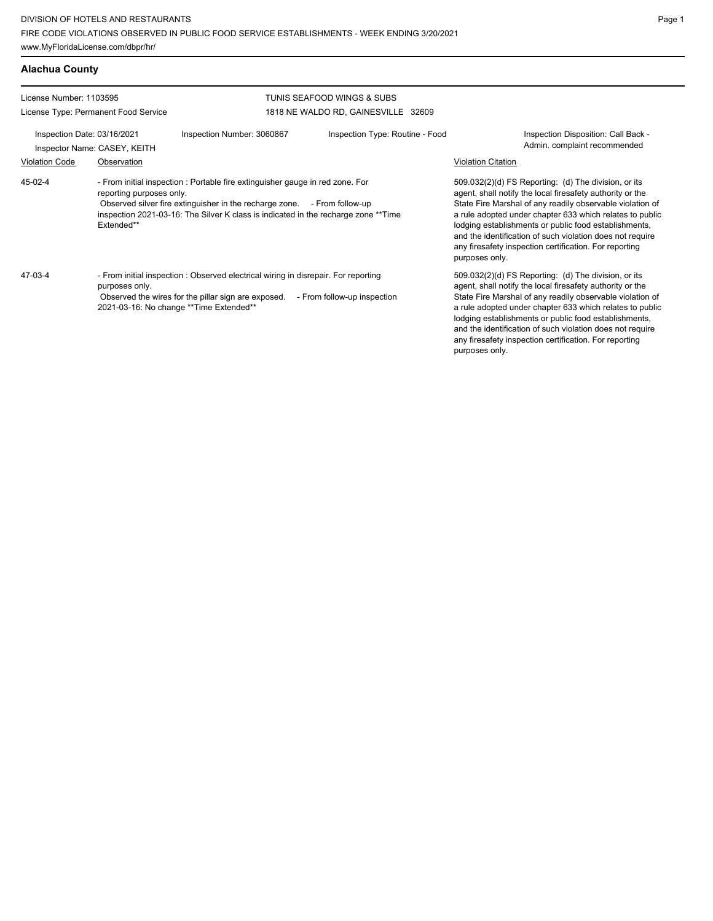| License Number: 1103595                                     |                                                                                                                                                                                                                                                                                           |                            | TUNIS SEAFOOD WINGS & SUBS          |                                                                                                                                                                                                                                                                                                                                                                                                                                              |  |  |
|-------------------------------------------------------------|-------------------------------------------------------------------------------------------------------------------------------------------------------------------------------------------------------------------------------------------------------------------------------------------|----------------------------|-------------------------------------|----------------------------------------------------------------------------------------------------------------------------------------------------------------------------------------------------------------------------------------------------------------------------------------------------------------------------------------------------------------------------------------------------------------------------------------------|--|--|
|                                                             | License Type: Permanent Food Service                                                                                                                                                                                                                                                      |                            | 1818 NE WALDO RD, GAINESVILLE 32609 |                                                                                                                                                                                                                                                                                                                                                                                                                                              |  |  |
| Inspection Date: 03/16/2021<br>Inspector Name: CASEY, KEITH |                                                                                                                                                                                                                                                                                           | Inspection Number: 3060867 | Inspection Type: Routine - Food     | Inspection Disposition: Call Back -<br>Admin. complaint recommended                                                                                                                                                                                                                                                                                                                                                                          |  |  |
| <b>Violation Code</b>                                       | Observation                                                                                                                                                                                                                                                                               |                            |                                     | <b>Violation Citation</b>                                                                                                                                                                                                                                                                                                                                                                                                                    |  |  |
| 45-02-4                                                     | - From initial inspection : Portable fire extinguisher gauge in red zone. For<br>reporting purposes only.<br>Observed silver fire extinguisher in the recharge zone. - From follow-up<br>inspection 2021-03-16: The Silver K class is indicated in the recharge zone **Time<br>Extended** |                            |                                     | 509.032(2)(d) FS Reporting: (d) The division, or its<br>agent, shall notify the local firesafety authority or the<br>State Fire Marshal of any readily observable violation of<br>a rule adopted under chapter 633 which relates to public<br>lodging establishments or public food establishments,<br>and the identification of such violation does not require<br>any firesafety inspection certification. For reporting<br>purposes only. |  |  |
| $47-03-4$                                                   | - From initial inspection : Observed electrical wiring in disrepair. For reporting<br>purposes only.<br>Observed the wires for the pillar sign are exposed.<br>- From follow-up inspection<br>2021-03-16: No change ** Time Extended**                                                    |                            |                                     | 509.032(2)(d) FS Reporting: (d) The division, or its<br>agent, shall notify the local firesafety authority or the<br>State Fire Marshal of any readily observable violation of<br>a rule adopted under chapter 633 which relates to public<br>lodging establishments or public food establishments,<br>and the identification of such violation does not require<br>any firesafety inspection certification. For reporting<br>purposes only. |  |  |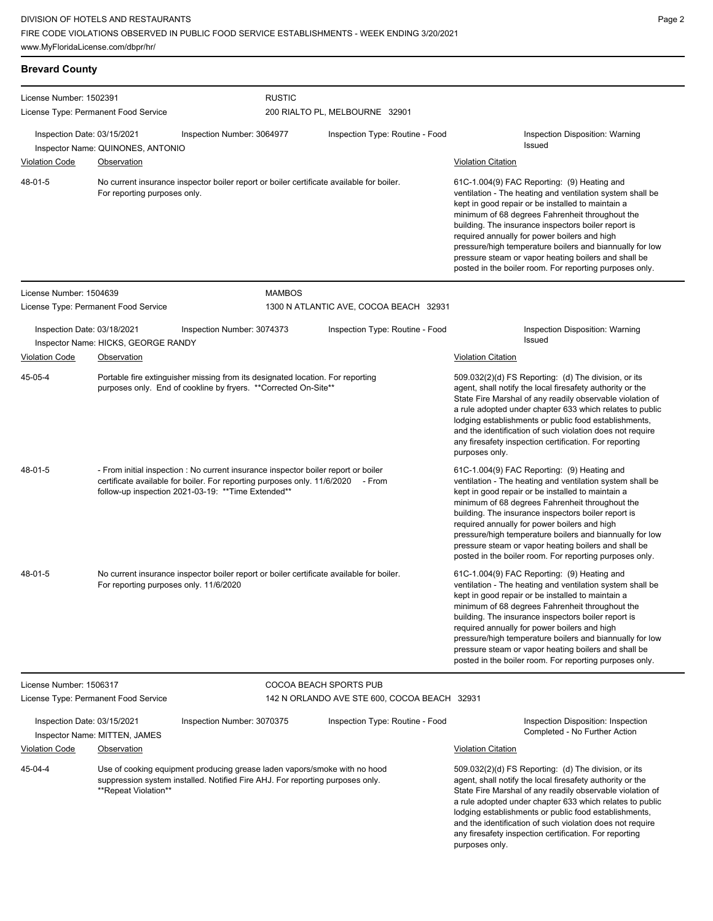| <b>Brevard County</b>                                            |                                                                                                                                                                                                                              |                                                                                                                                                            |                        |                                                                                                                                                                                                                                                                                                                                                                                                                                                                                                        |                                                                                                                                                                                                                                                                                                                                                                                                                                                                                                        |
|------------------------------------------------------------------|------------------------------------------------------------------------------------------------------------------------------------------------------------------------------------------------------------------------------|------------------------------------------------------------------------------------------------------------------------------------------------------------|------------------------|--------------------------------------------------------------------------------------------------------------------------------------------------------------------------------------------------------------------------------------------------------------------------------------------------------------------------------------------------------------------------------------------------------------------------------------------------------------------------------------------------------|--------------------------------------------------------------------------------------------------------------------------------------------------------------------------------------------------------------------------------------------------------------------------------------------------------------------------------------------------------------------------------------------------------------------------------------------------------------------------------------------------------|
| License Number: 1502391                                          | License Type: Permanent Food Service                                                                                                                                                                                         |                                                                                                                                                            | <b>RUSTIC</b>          | 200 RIALTO PL, MELBOURNE 32901                                                                                                                                                                                                                                                                                                                                                                                                                                                                         |                                                                                                                                                                                                                                                                                                                                                                                                                                                                                                        |
| Inspection Date: 03/15/2021<br>Inspector Name: QUINONES, ANTONIO |                                                                                                                                                                                                                              | Inspection Number: 3064977                                                                                                                                 |                        | Inspection Type: Routine - Food                                                                                                                                                                                                                                                                                                                                                                                                                                                                        | Inspection Disposition: Warning<br>Issued                                                                                                                                                                                                                                                                                                                                                                                                                                                              |
| <b>Violation Code</b>                                            | <b>Observation</b>                                                                                                                                                                                                           |                                                                                                                                                            |                        |                                                                                                                                                                                                                                                                                                                                                                                                                                                                                                        | <b>Violation Citation</b>                                                                                                                                                                                                                                                                                                                                                                                                                                                                              |
| 48-01-5                                                          | No current insurance inspector boiler report or boiler certificate available for boiler.<br>For reporting purposes only.                                                                                                     |                                                                                                                                                            |                        | 61C-1.004(9) FAC Reporting: (9) Heating and<br>ventilation - The heating and ventilation system shall be<br>kept in good repair or be installed to maintain a<br>minimum of 68 degrees Fahrenheit throughout the<br>building. The insurance inspectors boiler report is<br>required annually for power boilers and high<br>pressure/high temperature boilers and biannually for low<br>pressure steam or vapor heating boilers and shall be<br>posted in the boiler room. For reporting purposes only. |                                                                                                                                                                                                                                                                                                                                                                                                                                                                                                        |
| License Number: 1504639                                          |                                                                                                                                                                                                                              |                                                                                                                                                            | <b>MAMBOS</b>          |                                                                                                                                                                                                                                                                                                                                                                                                                                                                                                        |                                                                                                                                                                                                                                                                                                                                                                                                                                                                                                        |
|                                                                  | License Type: Permanent Food Service                                                                                                                                                                                         |                                                                                                                                                            |                        | 1300 N ATLANTIC AVE, COCOA BEACH 32931                                                                                                                                                                                                                                                                                                                                                                                                                                                                 |                                                                                                                                                                                                                                                                                                                                                                                                                                                                                                        |
| Inspection Date: 03/18/2021                                      | Inspector Name: HICKS, GEORGE RANDY                                                                                                                                                                                          | Inspection Number: 3074373                                                                                                                                 |                        | Inspection Type: Routine - Food                                                                                                                                                                                                                                                                                                                                                                                                                                                                        | Inspection Disposition: Warning<br>Issued                                                                                                                                                                                                                                                                                                                                                                                                                                                              |
| <b>Violation Code</b>                                            | Observation                                                                                                                                                                                                                  |                                                                                                                                                            |                        |                                                                                                                                                                                                                                                                                                                                                                                                                                                                                                        | <b>Violation Citation</b>                                                                                                                                                                                                                                                                                                                                                                                                                                                                              |
| 45-05-4                                                          |                                                                                                                                                                                                                              | Portable fire extinguisher missing from its designated location. For reporting<br>purposes only. End of cookline by fryers. ** Corrected On-Site**         |                        |                                                                                                                                                                                                                                                                                                                                                                                                                                                                                                        | 509.032(2)(d) FS Reporting: (d) The division, or its<br>agent, shall notify the local firesafety authority or the<br>State Fire Marshal of any readily observable violation of<br>a rule adopted under chapter 633 which relates to public<br>lodging establishments or public food establishments,<br>and the identification of such violation does not require<br>any firesafety inspection certification. For reporting<br>purposes only.                                                           |
| 48-01-5                                                          | - From initial inspection : No current insurance inspector boiler report or boiler<br>certificate available for boiler. For reporting purposes only. 11/6/2020 - From<br>follow-up inspection 2021-03-19: ** Time Extended** |                                                                                                                                                            |                        | 61C-1.004(9) FAC Reporting: (9) Heating and<br>ventilation - The heating and ventilation system shall be<br>kept in good repair or be installed to maintain a<br>minimum of 68 degrees Fahrenheit throughout the<br>building. The insurance inspectors boiler report is<br>required annually for power boilers and high<br>pressure/high temperature boilers and biannually for low<br>pressure steam or vapor heating boilers and shall be<br>posted in the boiler room. For reporting purposes only. |                                                                                                                                                                                                                                                                                                                                                                                                                                                                                                        |
| 48-01-5                                                          |                                                                                                                                                                                                                              | No current insurance inspector boiler report or boiler certificate available for boiler.<br>For reporting purposes only. 11/6/2020                         |                        |                                                                                                                                                                                                                                                                                                                                                                                                                                                                                                        | 61C-1.004(9) FAC Reporting: (9) Heating and<br>ventilation - The heating and ventilation system shall be<br>kept in good repair or be installed to maintain a<br>minimum of 68 degrees Fahrenheit throughout the<br>building. The insurance inspectors boiler report is<br>required annually for power boilers and high<br>pressure/high temperature boilers and biannually for low<br>pressure steam or vapor heating boilers and shall be<br>posted in the boiler room. For reporting purposes only. |
| License Number: 1506317                                          |                                                                                                                                                                                                                              |                                                                                                                                                            | COCOA BEACH SPORTS PUB |                                                                                                                                                                                                                                                                                                                                                                                                                                                                                                        |                                                                                                                                                                                                                                                                                                                                                                                                                                                                                                        |
|                                                                  | License Type: Permanent Food Service                                                                                                                                                                                         |                                                                                                                                                            |                        | 142 N ORLANDO AVE STE 600, COCOA BEACH 32931                                                                                                                                                                                                                                                                                                                                                                                                                                                           |                                                                                                                                                                                                                                                                                                                                                                                                                                                                                                        |
| Inspection Date: 03/15/2021                                      | Inspector Name: MITTEN, JAMES                                                                                                                                                                                                | Inspection Number: 3070375                                                                                                                                 |                        | Inspection Type: Routine - Food                                                                                                                                                                                                                                                                                                                                                                                                                                                                        | Inspection Disposition: Inspection<br>Completed - No Further Action                                                                                                                                                                                                                                                                                                                                                                                                                                    |
| <b>Violation Code</b>                                            | Observation                                                                                                                                                                                                                  |                                                                                                                                                            |                        |                                                                                                                                                                                                                                                                                                                                                                                                                                                                                                        | <b>Violation Citation</b>                                                                                                                                                                                                                                                                                                                                                                                                                                                                              |
| 45-04-4                                                          | **Repeat Violation**                                                                                                                                                                                                         | Use of cooking equipment producing grease laden vapors/smoke with no hood<br>suppression system installed. Notified Fire AHJ. For reporting purposes only. |                        |                                                                                                                                                                                                                                                                                                                                                                                                                                                                                                        | 509.032(2)(d) FS Reporting: (d) The division, or its<br>agent, shall notify the local firesafety authority or the<br>State Fire Marshal of any readily observable violation of<br>a rule adopted under chapter 633 which relates to public<br>lodging establishments or public food establishments,<br>and the identification of such violation does not require<br>any firesafety inspection certification. For reporting<br>purposes only.                                                           |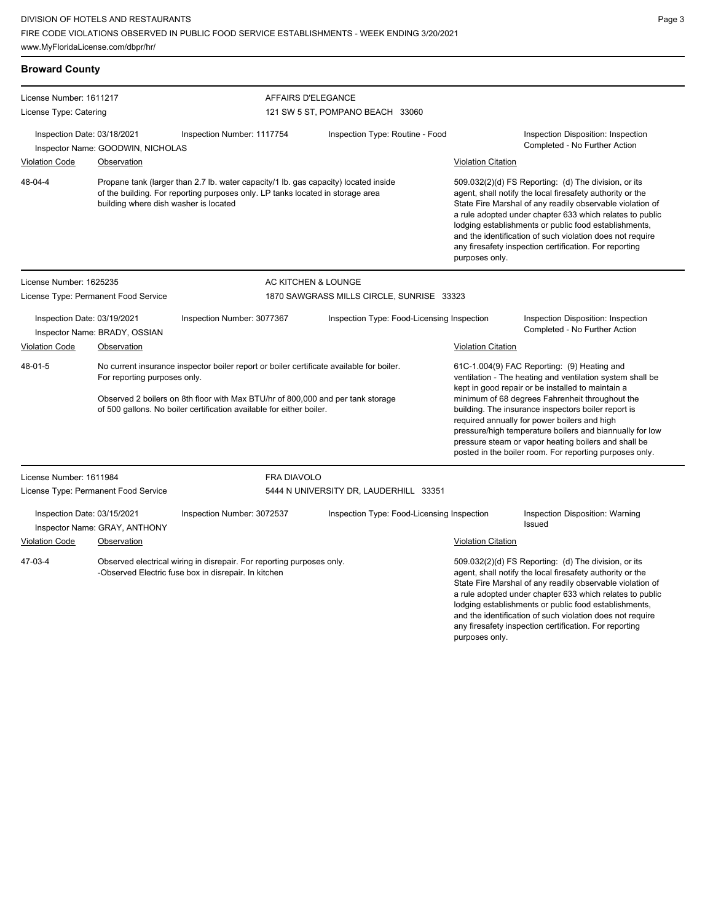**Broward County** License Number: 1611217 License Type: Catering AFFAIRS D'ELEGANCE 121 SW 5 ST, POMPANO BEACH 33060 Inspection Date: 03/18/2021 Inspection Number: 1117754 Inspection Type: Routine - Food Inspection Disposition: Inspection Inspector Name: GOODWIN, NICHOLAS **Completed - No Further Action** Inspector Name: GOODWIN, NICHOLAS Violation Code Observation Violation Citation Propane tank (larger than 2.7 lb. water capacity/1 lb. gas capacity) located inside of the building. For reporting purposes only. LP tanks located in storage area building where dish washer is located 509.032(2)(d) FS Reporting: (d) The division, or its agent, shall notify the local firesafety authority or the State Fire Marshal of any readily observable violation of a rule adopted under chapter 633 which relates to public lodging establishments or public food establishments, and the identification of such violation does not require any firesafety inspection certification. For reporting purposes only. 48-04-4 License Number: 1625235 License Type: Permanent Food Service AC KITCHEN & LOUNGE 1870 SAWGRASS MILLS CIRCLE, SUNRISE 33323 Inspection Date: 03/19/2021 Inspection Number: 3077367 Inspection Type: Food-Licensing Inspection Inspection Disposition: Inspection Inspector Name: BRADY, OSSIAN Completed - No Further Action Violation Code Observation Violation Citation No current insurance inspector boiler report or boiler certificate available for boiler. For reporting purposes only. Observed 2 boilers on 8th floor with Max BTU/hr of 800,000 and per tank storage of 500 gallons. No boiler certification available for either boiler. 61C-1.004(9) FAC Reporting: (9) Heating and ventilation - The heating and ventilation system shall be kept in good repair or be installed to maintain a minimum of 68 degrees Fahrenheit throughout the building. The insurance inspectors boiler report is required annually for power boilers and high pressure/high temperature boilers and biannually for low pressure steam or vapor heating boilers and shall be posted in the boiler room. For reporting purposes only. 48-01-5 License Number: 1611984 License Type: Permanent Food Service FRA DIAVOLO 5444 N UNIVERSITY DR, LAUDERHILL 33351 Inspection Date: 03/15/2021 Inspection Number: 3072537 Inspection Type: Food-Licensing Inspection Inspection Disposition: Warning Issued Inspector Name: GRAY, ANTHONY Violation Code Observation Violation Citation Observed electrical wiring in disrepair. For reporting purposes only. -Observed Electric fuse box in disrepair. In kitchen 509.032(2)(d) FS Reporting: (d) The division, or its agent, shall notify the local firesafety authority or the 47-03-4

State Fire Marshal of any readily observable violation of a rule adopted under chapter 633 which relates to public lodging establishments or public food establishments, and the identification of such violation does not require any firesafety inspection certification. For reporting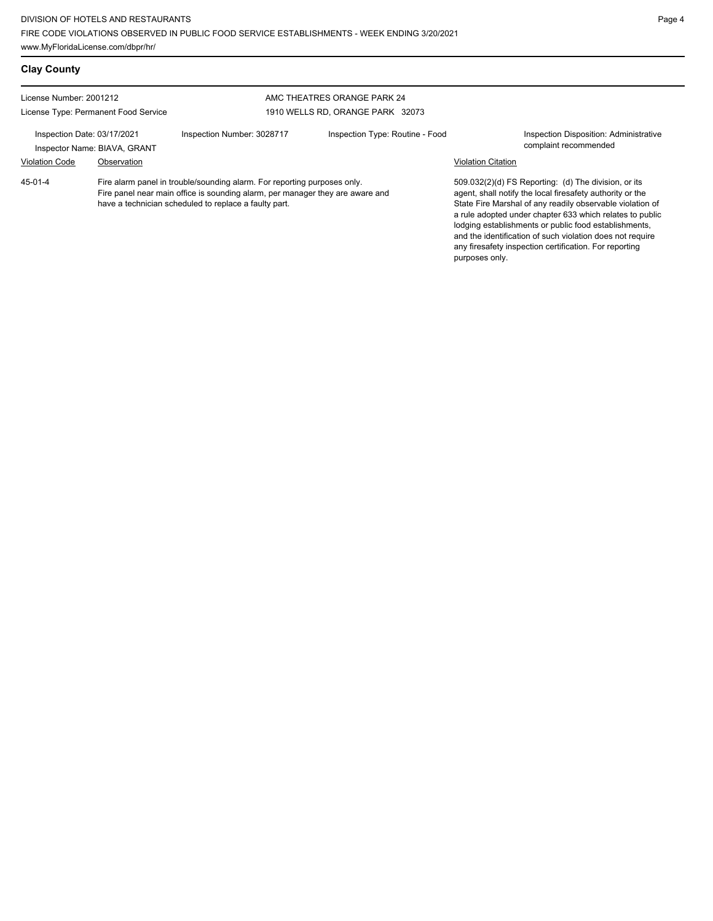| <b>Clay County</b>                                              |                              |                                                                                                                                                                                                                    |                                  |                           |                                                                                                                                                                                                                                                                                                                                                                                                                            |
|-----------------------------------------------------------------|------------------------------|--------------------------------------------------------------------------------------------------------------------------------------------------------------------------------------------------------------------|----------------------------------|---------------------------|----------------------------------------------------------------------------------------------------------------------------------------------------------------------------------------------------------------------------------------------------------------------------------------------------------------------------------------------------------------------------------------------------------------------------|
| License Number: 2001212<br>License Type: Permanent Food Service |                              |                                                                                                                                                                                                                    | AMC THEATRES ORANGE PARK 24      |                           |                                                                                                                                                                                                                                                                                                                                                                                                                            |
|                                                                 |                              |                                                                                                                                                                                                                    | 1910 WELLS RD, ORANGE PARK 32073 |                           |                                                                                                                                                                                                                                                                                                                                                                                                                            |
| Inspection Date: 03/17/2021                                     | Inspector Name: BIAVA, GRANT | Inspection Number: 3028717                                                                                                                                                                                         | Inspection Type: Routine - Food  |                           | Inspection Disposition: Administrative<br>complaint recommended                                                                                                                                                                                                                                                                                                                                                            |
| <b>Violation Code</b>                                           | Observation                  |                                                                                                                                                                                                                    |                                  | <b>Violation Citation</b> |                                                                                                                                                                                                                                                                                                                                                                                                                            |
| $45 - 01 - 4$                                                   |                              | Fire alarm panel in trouble/sounding alarm. For reporting purposes only.<br>Fire panel near main office is sounding alarm, per manager they are aware and<br>have a technician scheduled to replace a faulty part. |                                  | purposes only.            | 509.032(2)(d) FS Reporting: (d) The division, or its<br>agent, shall notify the local firesafety authority or the<br>State Fire Marshal of any readily observable violation of<br>a rule adopted under chapter 633 which relates to public<br>lodging establishments or public food establishments,<br>and the identification of such violation does not require<br>any firesafety inspection certification. For reporting |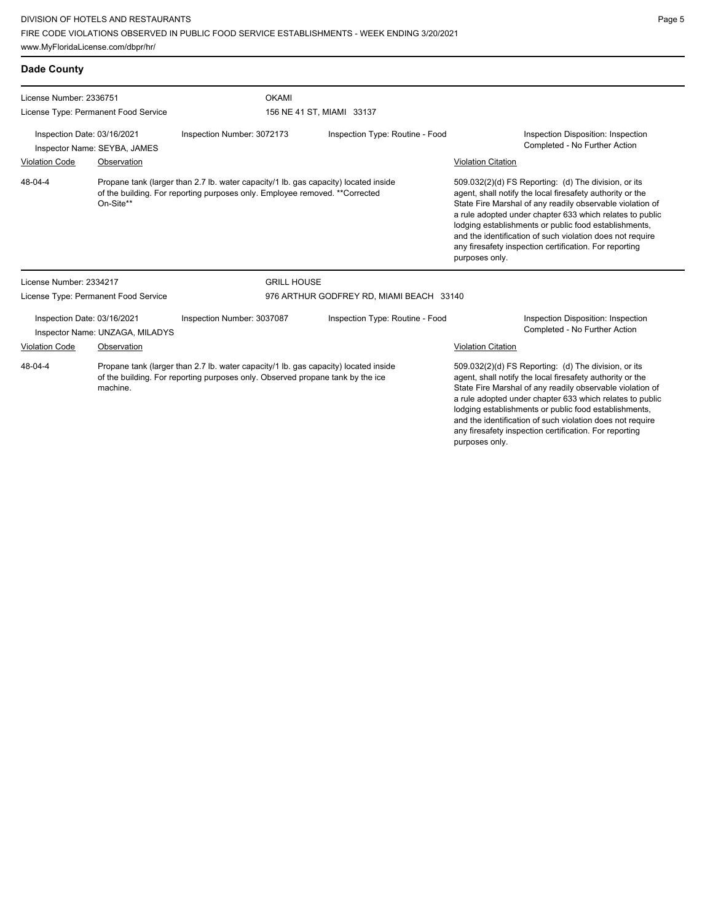| <b>Dade County</b>                                                                                                                                                                           |                                      |                                                                                                                                                                     |                                                                                                                                                                                                                                                                                                     |                                                                                                                                                                                                                                                                                                                                                                                                                                              |  |  |
|----------------------------------------------------------------------------------------------------------------------------------------------------------------------------------------------|--------------------------------------|---------------------------------------------------------------------------------------------------------------------------------------------------------------------|-----------------------------------------------------------------------------------------------------------------------------------------------------------------------------------------------------------------------------------------------------------------------------------------------------|----------------------------------------------------------------------------------------------------------------------------------------------------------------------------------------------------------------------------------------------------------------------------------------------------------------------------------------------------------------------------------------------------------------------------------------------|--|--|
| License Number: 2336751                                                                                                                                                                      |                                      | <b>OKAMI</b>                                                                                                                                                        |                                                                                                                                                                                                                                                                                                     |                                                                                                                                                                                                                                                                                                                                                                                                                                              |  |  |
|                                                                                                                                                                                              | License Type: Permanent Food Service |                                                                                                                                                                     | 156 NE 41 ST, MIAMI 33137                                                                                                                                                                                                                                                                           |                                                                                                                                                                                                                                                                                                                                                                                                                                              |  |  |
| Inspection Date: 03/16/2021                                                                                                                                                                  | Inspector Name: SEYBA, JAMES         | Inspection Number: 3072173                                                                                                                                          | Inspection Type: Routine - Food                                                                                                                                                                                                                                                                     | Inspection Disposition: Inspection<br>Completed - No Further Action                                                                                                                                                                                                                                                                                                                                                                          |  |  |
| <b>Violation Code</b>                                                                                                                                                                        | Observation                          |                                                                                                                                                                     |                                                                                                                                                                                                                                                                                                     | <b>Violation Citation</b>                                                                                                                                                                                                                                                                                                                                                                                                                    |  |  |
| $48 - 04 - 4$                                                                                                                                                                                | On-Site**                            | Propane tank (larger than 2.7 lb. water capacity/1 lb. gas capacity) located inside<br>of the building. For reporting purposes only. Employee removed. ** Corrected |                                                                                                                                                                                                                                                                                                     | 509.032(2)(d) FS Reporting: (d) The division, or its<br>agent, shall notify the local firesafety authority or the<br>State Fire Marshal of any readily observable violation of<br>a rule adopted under chapter 633 which relates to public<br>lodging establishments or public food establishments,<br>and the identification of such violation does not require<br>any firesafety inspection certification. For reporting<br>purposes only. |  |  |
| License Number: 2334217                                                                                                                                                                      |                                      | <b>GRILL HOUSE</b>                                                                                                                                                  |                                                                                                                                                                                                                                                                                                     |                                                                                                                                                                                                                                                                                                                                                                                                                                              |  |  |
|                                                                                                                                                                                              | License Type: Permanent Food Service |                                                                                                                                                                     | 976 ARTHUR GODFREY RD, MIAMI BEACH 33140                                                                                                                                                                                                                                                            |                                                                                                                                                                                                                                                                                                                                                                                                                                              |  |  |
| Inspection Date: 03/16/2021<br>Inspector Name: UNZAGA, MILADYS                                                                                                                               |                                      | Inspection Number: 3037087                                                                                                                                          | Inspection Type: Routine - Food                                                                                                                                                                                                                                                                     | Inspection Disposition: Inspection<br>Completed - No Further Action                                                                                                                                                                                                                                                                                                                                                                          |  |  |
| <b>Violation Code</b>                                                                                                                                                                        | Observation                          |                                                                                                                                                                     |                                                                                                                                                                                                                                                                                                     | <b>Violation Citation</b>                                                                                                                                                                                                                                                                                                                                                                                                                    |  |  |
| Propane tank (larger than 2.7 lb. water capacity/1 lb. gas capacity) located inside<br>48-04-4<br>of the building. For reporting purposes only. Observed propane tank by the ice<br>machine. |                                      |                                                                                                                                                                     | 509.032(2)(d) FS Reporting: (d) The division, or its<br>agent, shall notify the local firesafety authority or the<br>State Fire Marshal of any readily observable violation of<br>a rule adopted under chapter 633 which relates to public<br>lodging establishments or public food establishments, |                                                                                                                                                                                                                                                                                                                                                                                                                                              |  |  |

and the identification of such violation does not require any firesafety inspection certification. For reporting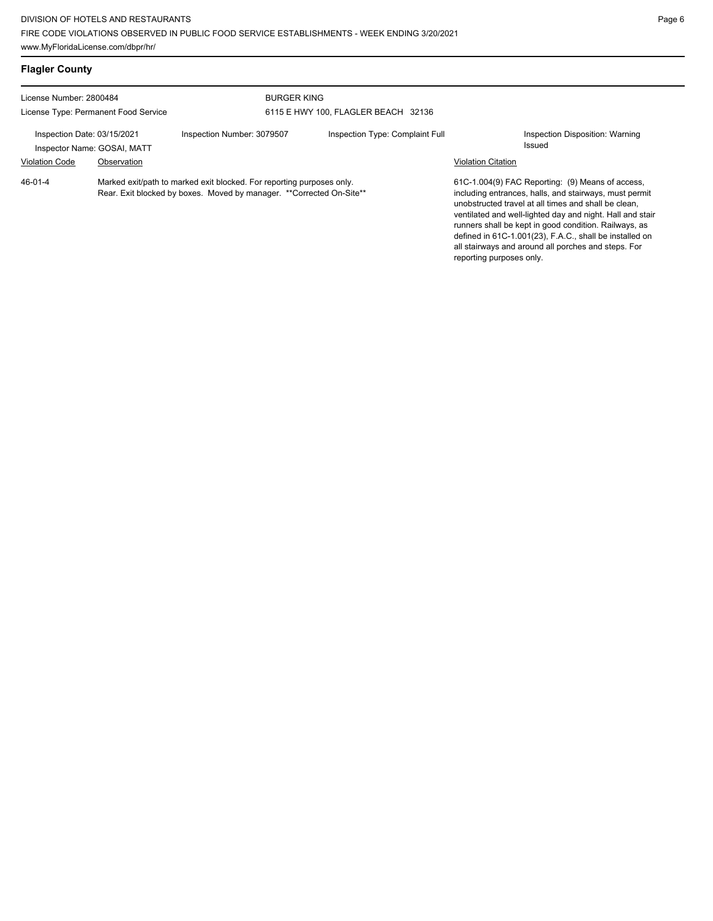| <b>Flagler County</b>                                      |             |                                                                                                                                               |                                     |                           |                                                                                                                                                                                                                                                                                                                                                                                                            |
|------------------------------------------------------------|-------------|-----------------------------------------------------------------------------------------------------------------------------------------------|-------------------------------------|---------------------------|------------------------------------------------------------------------------------------------------------------------------------------------------------------------------------------------------------------------------------------------------------------------------------------------------------------------------------------------------------------------------------------------------------|
| License Number: 2800484                                    |             | <b>BURGER KING</b>                                                                                                                            |                                     |                           |                                                                                                                                                                                                                                                                                                                                                                                                            |
| License Type: Permanent Food Service                       |             |                                                                                                                                               | 6115 E HWY 100, FLAGLER BEACH 32136 |                           |                                                                                                                                                                                                                                                                                                                                                                                                            |
| Inspection Date: 03/15/2021<br>Inspector Name: GOSAI, MATT |             | Inspection Number: 3079507                                                                                                                    | Inspection Type: Complaint Full     |                           | Inspection Disposition: Warning<br>Issued                                                                                                                                                                                                                                                                                                                                                                  |
| <b>Violation Code</b>                                      | Observation |                                                                                                                                               |                                     | <b>Violation Citation</b> |                                                                                                                                                                                                                                                                                                                                                                                                            |
| 46-01-4                                                    |             | Marked exit/path to marked exit blocked. For reporting purposes only.<br>Rear. Exit blocked by boxes. Moved by manager. **Corrected On-Site** |                                     | reporting purposes only.  | 61C-1.004(9) FAC Reporting: (9) Means of access,<br>including entrances, halls, and stairways, must permit<br>unobstructed travel at all times and shall be clean.<br>ventilated and well-lighted day and night. Hall and stair<br>runners shall be kept in good condition. Railways, as<br>defined in 61C-1.001(23), F.A.C., shall be installed on<br>all stairways and around all porches and steps. For |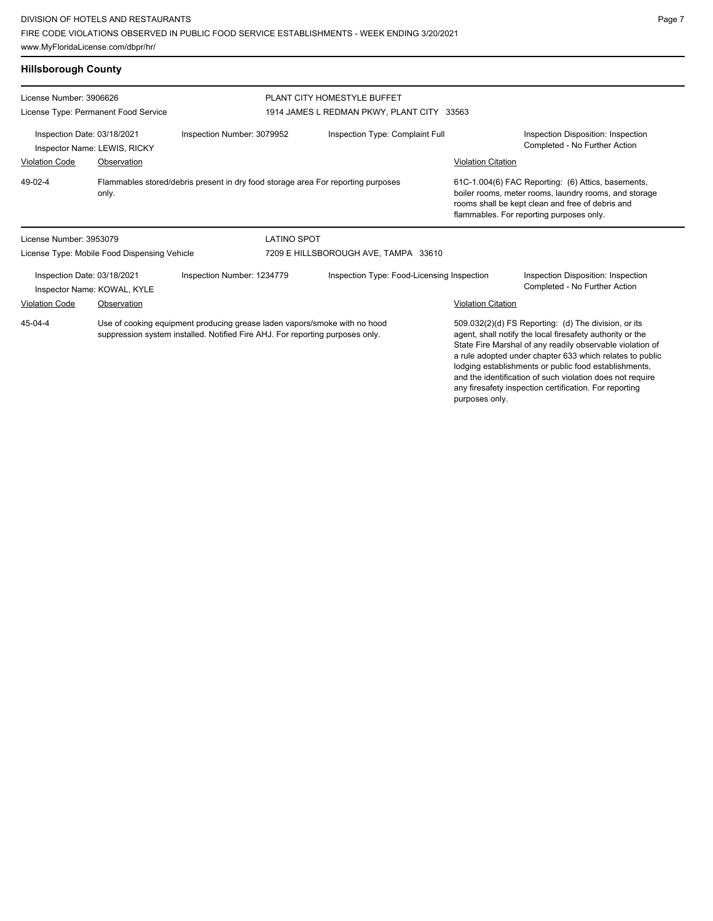www.MyFloridaLicense.com/dbpr/hr/

|--|--|

lodging establishments or public food establishments, and the identification of such violation does not require any firesafety inspection certification. For reporting

| <b>Hillsborough County</b>                                                                                                                                            |                                              |                                                                                  |                                                                                                                                                                                                                                            |                           |                                                                                                                                                                                                             |
|-----------------------------------------------------------------------------------------------------------------------------------------------------------------------|----------------------------------------------|----------------------------------------------------------------------------------|--------------------------------------------------------------------------------------------------------------------------------------------------------------------------------------------------------------------------------------------|---------------------------|-------------------------------------------------------------------------------------------------------------------------------------------------------------------------------------------------------------|
| License Number: 3906626                                                                                                                                               |                                              |                                                                                  | PLANT CITY HOMESTYLE BUFFET                                                                                                                                                                                                                |                           |                                                                                                                                                                                                             |
|                                                                                                                                                                       | License Type: Permanent Food Service         |                                                                                  | 1914 JAMES L REDMAN PKWY, PLANT CITY 33563                                                                                                                                                                                                 |                           |                                                                                                                                                                                                             |
| Inspection Date: 03/18/2021                                                                                                                                           | Inspector Name: LEWIS, RICKY                 | Inspection Number: 3079952                                                       | Inspection Type: Complaint Full                                                                                                                                                                                                            |                           | Inspection Disposition: Inspection<br>Completed - No Further Action                                                                                                                                         |
| <b>Violation Code</b>                                                                                                                                                 | Observation                                  |                                                                                  |                                                                                                                                                                                                                                            | <b>Violation Citation</b> |                                                                                                                                                                                                             |
| 49-02-4                                                                                                                                                               | only.                                        | Flammables stored/debris present in dry food storage area For reporting purposes |                                                                                                                                                                                                                                            |                           | 61C-1.004(6) FAC Reporting: (6) Attics, basements,<br>boiler rooms, meter rooms, laundry rooms, and storage<br>rooms shall be kept clean and free of debris and<br>flammables. For reporting purposes only. |
| License Number: 3953079                                                                                                                                               |                                              | <b>LATINO SPOT</b>                                                               |                                                                                                                                                                                                                                            |                           |                                                                                                                                                                                                             |
|                                                                                                                                                                       | License Type: Mobile Food Dispensing Vehicle |                                                                                  | 7209 E HILLSBOROUGH AVE, TAMPA 33610                                                                                                                                                                                                       |                           |                                                                                                                                                                                                             |
| Inspection Date: 03/18/2021                                                                                                                                           | Inspector Name: KOWAL, KYLE                  | Inspection Number: 1234779                                                       | Inspection Type: Food-Licensing Inspection                                                                                                                                                                                                 |                           | Inspection Disposition: Inspection<br>Completed - No Further Action                                                                                                                                         |
| <b>Violation Code</b>                                                                                                                                                 | Observation                                  |                                                                                  |                                                                                                                                                                                                                                            | <b>Violation Citation</b> |                                                                                                                                                                                                             |
| 45-04-4<br>Use of cooking equipment producing grease laden vapors/smoke with no hood<br>suppression system installed. Notified Fire AHJ. For reporting purposes only. |                                              |                                                                                  | 509.032(2)(d) FS Reporting: (d) The division, or its<br>agent, shall notify the local firesafety authority or the<br>State Fire Marshal of any readily observable violation of<br>a rule adopted under chapter 633 which relates to public |                           |                                                                                                                                                                                                             |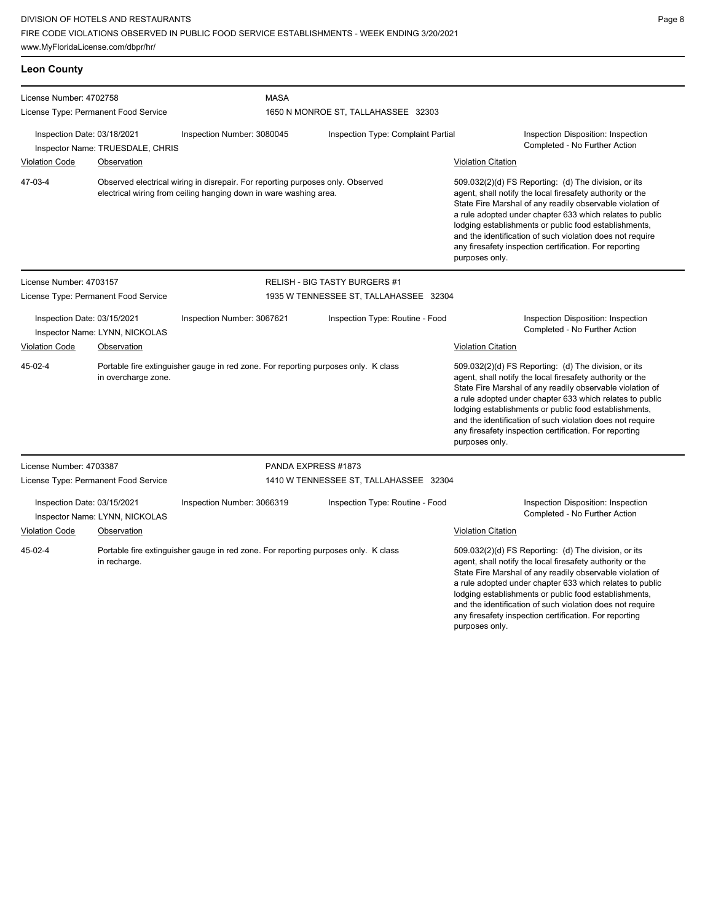## DIVISION OF HOTELS AND RESTAURANTS FIRE CODE VIOLATIONS OBSERVED IN PUBLIC FOOD SERVICE ESTABLISHMENTS - WEEK ENDING 3/20/2021

www.MyFloridaLicense.com/dbpr/hr/

| <b>Leon County</b>                                                                            |             |                                                                                                                                                     |                                        |                                                                                                                                                                                                                                                                                                                                                                                                                                              |  |  |  |
|-----------------------------------------------------------------------------------------------|-------------|-----------------------------------------------------------------------------------------------------------------------------------------------------|----------------------------------------|----------------------------------------------------------------------------------------------------------------------------------------------------------------------------------------------------------------------------------------------------------------------------------------------------------------------------------------------------------------------------------------------------------------------------------------------|--|--|--|
| License Number: 4702758                                                                       |             |                                                                                                                                                     | <b>MASA</b>                            |                                                                                                                                                                                                                                                                                                                                                                                                                                              |  |  |  |
| License Type: Permanent Food Service                                                          |             |                                                                                                                                                     | 1650 N MONROE ST, TALLAHASSEE 32303    |                                                                                                                                                                                                                                                                                                                                                                                                                                              |  |  |  |
| Inspection Date: 03/18/2021<br>Inspection Number: 3080045<br>Inspector Name: TRUESDALE, CHRIS |             |                                                                                                                                                     | Inspection Type: Complaint Partial     | Inspection Disposition: Inspection<br>Completed - No Further Action                                                                                                                                                                                                                                                                                                                                                                          |  |  |  |
| <b>Violation Code</b>                                                                         | Observation |                                                                                                                                                     |                                        | <b>Violation Citation</b>                                                                                                                                                                                                                                                                                                                                                                                                                    |  |  |  |
| 47-03-4                                                                                       |             | Observed electrical wiring in disrepair. For reporting purposes only. Observed<br>electrical wiring from ceiling hanging down in ware washing area. |                                        | 509.032(2)(d) FS Reporting: (d) The division, or its<br>agent, shall notify the local firesafety authority or the<br>State Fire Marshal of any readily observable violation of<br>a rule adopted under chapter 633 which relates to public<br>lodging establishments or public food establishments,<br>and the identification of such violation does not require<br>any firesafety inspection certification. For reporting<br>purposes only. |  |  |  |
| License Number: 4703157                                                                       |             |                                                                                                                                                     | <b>RELISH - BIG TASTY BURGERS #1</b>   |                                                                                                                                                                                                                                                                                                                                                                                                                                              |  |  |  |
| License Type: Permanent Food Service                                                          |             |                                                                                                                                                     | 1935 W TENNESSEE ST, TALLAHASSEE 32304 |                                                                                                                                                                                                                                                                                                                                                                                                                                              |  |  |  |
| Inspection Date: 03/15/2021<br>Inspector Name: LYNN, NICKOLAS                                 |             | Inspection Number: 3067621                                                                                                                          | Inspection Type: Routine - Food        | Inspection Disposition: Inspection<br>Completed - No Further Action                                                                                                                                                                                                                                                                                                                                                                          |  |  |  |

Portable fire extinguisher gauge in red zone. For reporting purposes only. K class in overcharge zone. 45-02-4

Violation Code Observation Violation Citation 509.032(2)(d) FS Reporting: (d) The division, or its agent, shall notify the local firesafety authority or the State Fire Marshal of any readily observable violation of a rule adopted under chapter 633 which relates to public lodging establishments or public food establishments, and the identification of such violation does not require any firesafety inspection certification. For reporting purposes only.

License Number: 4703387 License Type: Permanent Food Service PANDA EXPRESS #1873 1410 W TENNESSEE ST, TALLAHASSEE 32304 Inspection Date: 03/15/2021 Inspection Number: 3066319 Inspection Type: Routine - Food Inspection Disposition: Inspection Inspector Name: LYNN, NICKOLAS Completed - No Further Action Violation Code Observation Violation Citation Portable fire extinguisher gauge in red zone. For reporting purposes only. K class in recharge. 509.032(2)(d) FS Reporting: (d) The division, or its 45-02-4

agent, shall notify the local firesafety authority or the State Fire Marshal of any readily observable violation of a rule adopted under chapter 633 which relates to public lodging establishments or public food establishments, and the identification of such violation does not require any firesafety inspection certification. For reporting purposes only.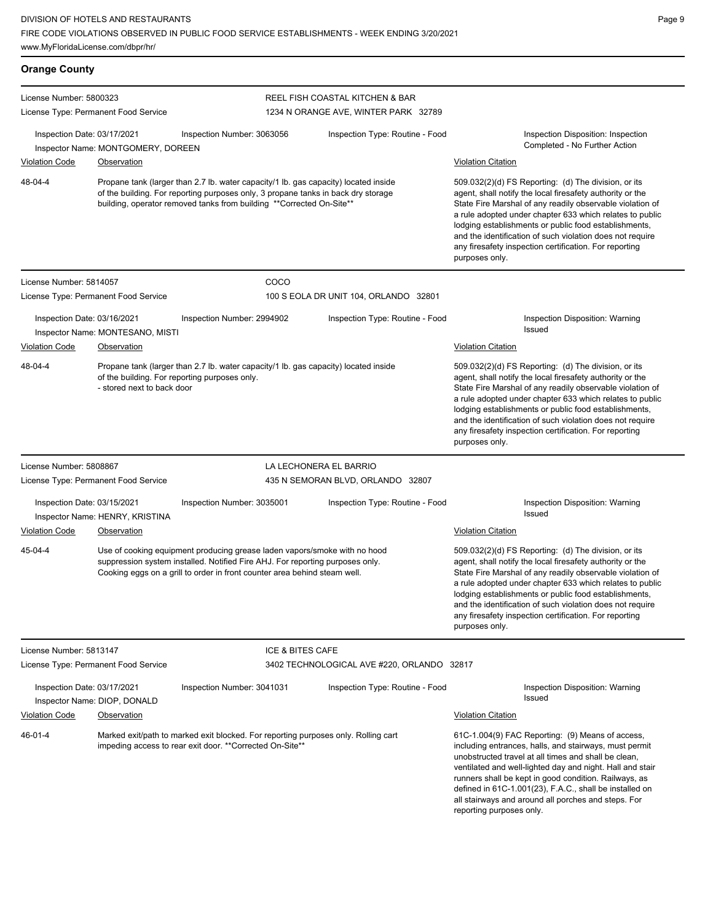| <b>Orange County</b>        |                                      |                                                                                                                                                                                                                                                  |                                                                                                                                                                                                                                                                                                                                                                                                                                              |                                                                                                                                                                                                                                                                                                                                                                                                                                              |
|-----------------------------|--------------------------------------|--------------------------------------------------------------------------------------------------------------------------------------------------------------------------------------------------------------------------------------------------|----------------------------------------------------------------------------------------------------------------------------------------------------------------------------------------------------------------------------------------------------------------------------------------------------------------------------------------------------------------------------------------------------------------------------------------------|----------------------------------------------------------------------------------------------------------------------------------------------------------------------------------------------------------------------------------------------------------------------------------------------------------------------------------------------------------------------------------------------------------------------------------------------|
| License Number: 5800323     | License Type: Permanent Food Service |                                                                                                                                                                                                                                                  | <b>REEL FISH COASTAL KITCHEN &amp; BAR</b><br>1234 N ORANGE AVE, WINTER PARK 32789                                                                                                                                                                                                                                                                                                                                                           |                                                                                                                                                                                                                                                                                                                                                                                                                                              |
| Inspection Date: 03/17/2021 | Inspector Name: MONTGOMERY, DOREEN   | Inspection Number: 3063056                                                                                                                                                                                                                       | Inspection Type: Routine - Food                                                                                                                                                                                                                                                                                                                                                                                                              | Inspection Disposition: Inspection<br>Completed - No Further Action                                                                                                                                                                                                                                                                                                                                                                          |
| <b>Violation Code</b>       | Observation                          |                                                                                                                                                                                                                                                  |                                                                                                                                                                                                                                                                                                                                                                                                                                              | <b>Violation Citation</b>                                                                                                                                                                                                                                                                                                                                                                                                                    |
| 48-04-4                     |                                      | Propane tank (larger than 2.7 lb. water capacity/1 lb. gas capacity) located inside<br>of the building. For reporting purposes only, 3 propane tanks in back dry storage<br>building, operator removed tanks from building **Corrected On-Site** | 509.032(2)(d) FS Reporting: (d) The division, or its<br>agent, shall notify the local firesafety authority or the<br>State Fire Marshal of any readily observable violation of<br>a rule adopted under chapter 633 which relates to public<br>lodging establishments or public food establishments,<br>and the identification of such violation does not require<br>any firesafety inspection certification. For reporting<br>purposes only. |                                                                                                                                                                                                                                                                                                                                                                                                                                              |
| License Number: 5814057     |                                      | COCO                                                                                                                                                                                                                                             |                                                                                                                                                                                                                                                                                                                                                                                                                                              |                                                                                                                                                                                                                                                                                                                                                                                                                                              |
|                             | License Type: Permanent Food Service |                                                                                                                                                                                                                                                  | 100 S EOLA DR UNIT 104, ORLANDO 32801                                                                                                                                                                                                                                                                                                                                                                                                        |                                                                                                                                                                                                                                                                                                                                                                                                                                              |
| Inspection Date: 03/16/2021 | Inspector Name: MONTESANO, MISTI     | Inspection Number: 2994902                                                                                                                                                                                                                       | Inspection Type: Routine - Food                                                                                                                                                                                                                                                                                                                                                                                                              | Inspection Disposition: Warning<br>Issued                                                                                                                                                                                                                                                                                                                                                                                                    |
| <b>Violation Code</b>       | Observation                          |                                                                                                                                                                                                                                                  |                                                                                                                                                                                                                                                                                                                                                                                                                                              | <b>Violation Citation</b>                                                                                                                                                                                                                                                                                                                                                                                                                    |
| 48-04-4                     | - stored next to back door           | Propane tank (larger than 2.7 lb. water capacity/1 lb. gas capacity) located inside<br>of the building. For reporting purposes only.                                                                                                             |                                                                                                                                                                                                                                                                                                                                                                                                                                              | 509.032(2)(d) FS Reporting: (d) The division, or its<br>agent, shall notify the local firesafety authority or the<br>State Fire Marshal of any readily observable violation of<br>a rule adopted under chapter 633 which relates to public<br>lodging establishments or public food establishments,<br>and the identification of such violation does not require<br>any firesafety inspection certification. For reporting<br>purposes only. |
| License Number: 5808867     |                                      |                                                                                                                                                                                                                                                  | LA LECHONERA EL BARRIO                                                                                                                                                                                                                                                                                                                                                                                                                       |                                                                                                                                                                                                                                                                                                                                                                                                                                              |
|                             | License Type: Permanent Food Service |                                                                                                                                                                                                                                                  | 435 N SEMORAN BLVD, ORLANDO 32807                                                                                                                                                                                                                                                                                                                                                                                                            |                                                                                                                                                                                                                                                                                                                                                                                                                                              |
| Inspection Date: 03/15/2021 | Inspector Name: HENRY, KRISTINA      | Inspection Number: 3035001                                                                                                                                                                                                                       | Inspection Type: Routine - Food                                                                                                                                                                                                                                                                                                                                                                                                              | Inspection Disposition: Warning<br>Issued                                                                                                                                                                                                                                                                                                                                                                                                    |
| <b>Violation Code</b>       | Observation                          |                                                                                                                                                                                                                                                  |                                                                                                                                                                                                                                                                                                                                                                                                                                              | <b>Violation Citation</b>                                                                                                                                                                                                                                                                                                                                                                                                                    |
| 45-04-4                     |                                      | Use of cooking equipment producing grease laden vapors/smoke with no hood<br>suppression system installed. Notified Fire AHJ. For reporting purposes only.<br>Cooking eggs on a grill to order in front counter area behind steam well.          |                                                                                                                                                                                                                                                                                                                                                                                                                                              | 509.032(2)(d) FS Reporting: (d) The division, or its<br>agent, shall notify the local firesafety authority or the<br>State Fire Marshal of any readily observable violation of<br>a rule adopted under chapter 633 which relates to public<br>lodging establishments or public food establishments,<br>and the identification of such violation does not require<br>any firesafety inspection certification. For reporting<br>purposes only. |
| License Number: 5813147     |                                      | ICE & BITES CAFE                                                                                                                                                                                                                                 |                                                                                                                                                                                                                                                                                                                                                                                                                                              |                                                                                                                                                                                                                                                                                                                                                                                                                                              |
|                             | License Type: Permanent Food Service |                                                                                                                                                                                                                                                  | 3402 TECHNOLOGICAL AVE #220, ORLANDO 32817                                                                                                                                                                                                                                                                                                                                                                                                   |                                                                                                                                                                                                                                                                                                                                                                                                                                              |
| Inspection Date: 03/17/2021 | Inspector Name: DIOP, DONALD         | Inspection Number: 3041031                                                                                                                                                                                                                       | Inspection Type: Routine - Food                                                                                                                                                                                                                                                                                                                                                                                                              | Inspection Disposition: Warning<br>Issued                                                                                                                                                                                                                                                                                                                                                                                                    |
| <b>Violation Code</b>       | <b>Observation</b>                   |                                                                                                                                                                                                                                                  |                                                                                                                                                                                                                                                                                                                                                                                                                                              | <b>Violation Citation</b>                                                                                                                                                                                                                                                                                                                                                                                                                    |
| 46-01-4                     |                                      | Marked exit/path to marked exit blocked. For reporting purposes only. Rolling cart<br>impeding access to rear exit door. ** Corrected On-Site**                                                                                                  |                                                                                                                                                                                                                                                                                                                                                                                                                                              | 61C-1.004(9) FAC Reporting: (9) Means of access,<br>including entrances, halls, and stairways, must permit<br>unobstructed travel at all times and shall be clean,<br>ventilated and well-lighted day and night. Hall and stair<br>runners shall be kept in good condition. Railways, as<br>defined in 61C-1.001(23), F.A.C., shall be installed on<br>all stairways and around all porches and steps. For<br>reporting purposes only.       |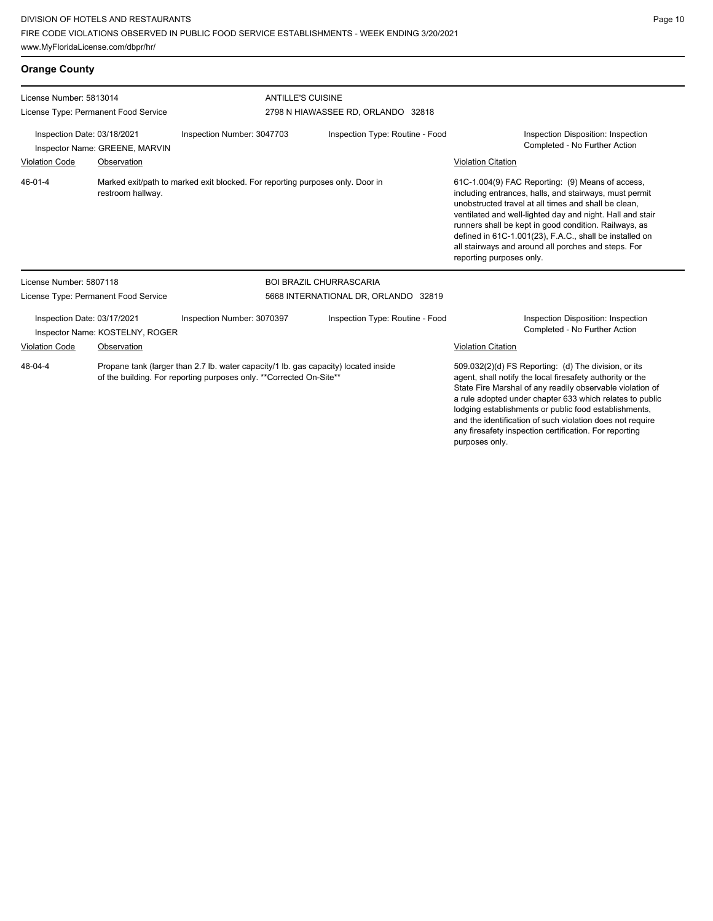www.MyFloridaLicense.com/dbpr/hr/

and the identification of such violation does not require any firesafety inspection certification. For reporting

| <b>Orange County</b>                                                                                  |                                      |                                                                                                                                                            |                                 |                                                                                                                                                                                                                                                                                                                                                                                                                                                                     |  |  |
|-------------------------------------------------------------------------------------------------------|--------------------------------------|------------------------------------------------------------------------------------------------------------------------------------------------------------|---------------------------------|---------------------------------------------------------------------------------------------------------------------------------------------------------------------------------------------------------------------------------------------------------------------------------------------------------------------------------------------------------------------------------------------------------------------------------------------------------------------|--|--|
| License Number: 5813014                                                                               |                                      |                                                                                                                                                            | <b>ANTILLE'S CUISINE</b>        |                                                                                                                                                                                                                                                                                                                                                                                                                                                                     |  |  |
| License Type: Permanent Food Service<br>Inspection Date: 03/18/2021<br>Inspector Name: GREENE, MARVIN |                                      | 2798 N HIAWASSEE RD, ORLANDO 32818<br>Inspection Number: 3047703<br>Inspection Type: Routine - Food                                                        |                                 | Inspection Disposition: Inspection<br>Completed - No Further Action                                                                                                                                                                                                                                                                                                                                                                                                 |  |  |
| <b>Violation Code</b><br>$46 - 01 - 4$                                                                | Observation<br>restroom hallway.     | Marked exit/path to marked exit blocked. For reporting purposes only. Door in                                                                              |                                 | <b>Violation Citation</b><br>61C-1.004(9) FAC Reporting: (9) Means of access,<br>including entrances, halls, and stairways, must permit<br>unobstructed travel at all times and shall be clean.<br>ventilated and well-lighted day and night. Hall and stair<br>runners shall be kept in good condition. Railways, as<br>defined in 61C-1.001(23), F.A.C., shall be installed on<br>all stairways and around all porches and steps. For<br>reporting purposes only. |  |  |
| License Number: 5807118                                                                               |                                      |                                                                                                                                                            | <b>BOI BRAZIL CHURRASCARIA</b>  |                                                                                                                                                                                                                                                                                                                                                                                                                                                                     |  |  |
|                                                                                                       | License Type: Permanent Food Service | 5668 INTERNATIONAL DR, ORLANDO 32819                                                                                                                       |                                 |                                                                                                                                                                                                                                                                                                                                                                                                                                                                     |  |  |
| Inspection Date: 03/17/2021                                                                           | Inspector Name: KOSTELNY, ROGER      | Inspection Number: 3070397                                                                                                                                 | Inspection Type: Routine - Food | Inspection Disposition: Inspection<br>Completed - No Further Action                                                                                                                                                                                                                                                                                                                                                                                                 |  |  |
| <b>Violation Code</b>                                                                                 | Observation                          |                                                                                                                                                            |                                 | <b>Violation Citation</b>                                                                                                                                                                                                                                                                                                                                                                                                                                           |  |  |
| 48-04-4                                                                                               |                                      | Propane tank (larger than 2.7 lb. water capacity/1 lb. gas capacity) located inside<br>of the building. For reporting purposes only. **Corrected On-Site** |                                 | 509.032(2)(d) FS Reporting: (d) The division, or its<br>agent, shall notify the local firesafety authority or the<br>State Fire Marshal of any readily observable violation of<br>a rule adopted under chapter 633 which relates to public<br>lodging establishments or public food establishments,                                                                                                                                                                 |  |  |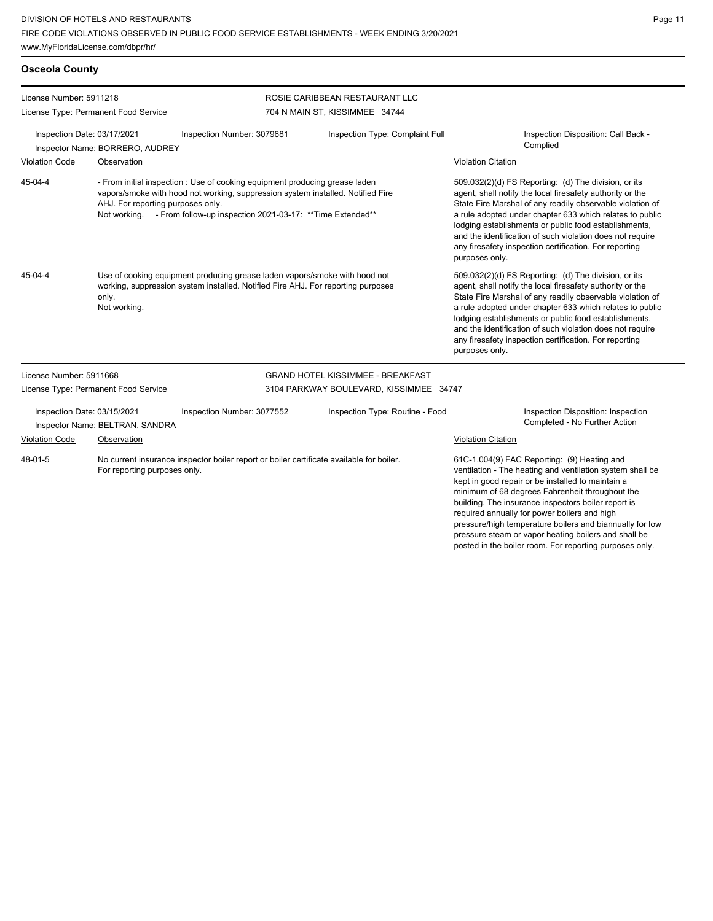**Osceola County**

posted in the boiler room. For reporting purposes only.

| License Number: 5911218                                        |                                                |                                                                                                                                                                                                                                           | ROSIE CARIBBEAN RESTAURANT LLC           |                                                                                                                                                                                                                                                                                                                                                                                                                                              |  |
|----------------------------------------------------------------|------------------------------------------------|-------------------------------------------------------------------------------------------------------------------------------------------------------------------------------------------------------------------------------------------|------------------------------------------|----------------------------------------------------------------------------------------------------------------------------------------------------------------------------------------------------------------------------------------------------------------------------------------------------------------------------------------------------------------------------------------------------------------------------------------------|--|
|                                                                | License Type: Permanent Food Service           |                                                                                                                                                                                                                                           | 704 N MAIN ST, KISSIMMEE 34744           |                                                                                                                                                                                                                                                                                                                                                                                                                                              |  |
| Inspection Date: 03/17/2021<br>Inspector Name: BORRERO, AUDREY |                                                | Inspection Number: 3079681                                                                                                                                                                                                                | Inspection Type: Complaint Full          | Inspection Disposition: Call Back -<br>Complied                                                                                                                                                                                                                                                                                                                                                                                              |  |
| <b>Violation Code</b>                                          | Observation                                    |                                                                                                                                                                                                                                           |                                          | <b>Violation Citation</b>                                                                                                                                                                                                                                                                                                                                                                                                                    |  |
| 45-04-4                                                        | AHJ. For reporting purposes only.              | - From initial inspection : Use of cooking equipment producing grease laden<br>vapors/smoke with hood not working, suppression system installed. Notified Fire<br>Not working. - From follow-up inspection 2021-03-17: ** Time Extended** |                                          | 509.032(2)(d) FS Reporting: (d) The division, or its<br>agent, shall notify the local firesafety authority or the<br>State Fire Marshal of any readily observable violation of<br>a rule adopted under chapter 633 which relates to public<br>lodging establishments or public food establishments,<br>and the identification of such violation does not require<br>any firesafety inspection certification. For reporting<br>purposes only. |  |
| $45 - 04 - 4$                                                  | only.<br>Not working.                          | Use of cooking equipment producing grease laden vapors/smoke with hood not<br>working, suppression system installed. Notified Fire AHJ. For reporting purposes                                                                            |                                          | 509.032(2)(d) FS Reporting: (d) The division, or its<br>agent, shall notify the local firesafety authority or the<br>State Fire Marshal of any readily observable violation of<br>a rule adopted under chapter 633 which relates to public<br>lodging establishments or public food establishments,<br>and the identification of such violation does not require<br>any firesafety inspection certification. For reporting<br>purposes only. |  |
| License Number: 5911668                                        |                                                |                                                                                                                                                                                                                                           | <b>GRAND HOTEL KISSIMMEE - BREAKFAST</b> |                                                                                                                                                                                                                                                                                                                                                                                                                                              |  |
|                                                                | License Type: Permanent Food Service           |                                                                                                                                                                                                                                           | 3104 PARKWAY BOULEVARD, KISSIMMEE 34747  |                                                                                                                                                                                                                                                                                                                                                                                                                                              |  |
| Inspection Date: 03/15/2021<br><b>Violation Code</b>           | Inspector Name: BELTRAN, SANDRA<br>Observation | Inspection Number: 3077552                                                                                                                                                                                                                | Inspection Type: Routine - Food          | Inspection Disposition: Inspection<br>Completed - No Further Action<br><b>Violation Citation</b>                                                                                                                                                                                                                                                                                                                                             |  |
| 48-01-5                                                        | For reporting purposes only.                   | No current insurance inspector boiler report or boiler certificate available for boiler.                                                                                                                                                  |                                          | 61C-1.004(9) FAC Reporting: (9) Heating and<br>ventilation - The heating and ventilation system shall be<br>kept in good repair or be installed to maintain a<br>minimum of 68 degrees Fahrenheit throughout the<br>building. The insurance inspectors boiler report is<br>required annually for power boilers and high<br>pressure/high temperature boilers and biannually for low<br>pressure steam or vapor heating boilers and shall be  |  |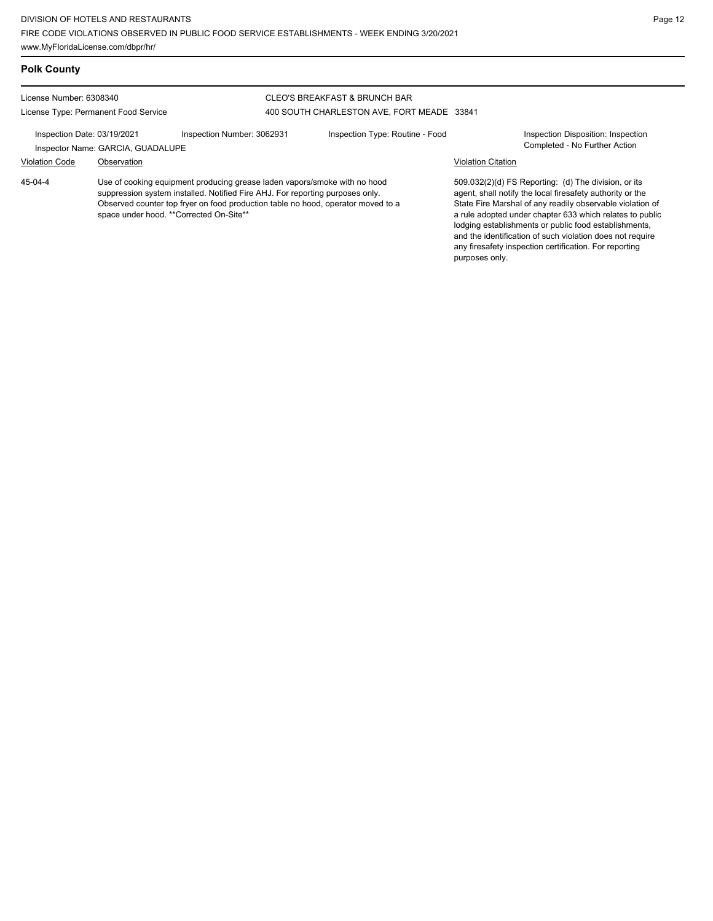| <b>Polk County</b>                                              |                                                  |                                                                                                                                                                                                                                                |                                                                             |                           |                                                                                                                                                                                                                                                                                                                                                                                                                            |
|-----------------------------------------------------------------|--------------------------------------------------|------------------------------------------------------------------------------------------------------------------------------------------------------------------------------------------------------------------------------------------------|-----------------------------------------------------------------------------|---------------------------|----------------------------------------------------------------------------------------------------------------------------------------------------------------------------------------------------------------------------------------------------------------------------------------------------------------------------------------------------------------------------------------------------------------------------|
| License Number: 6308340<br>License Type: Permanent Food Service |                                                  |                                                                                                                                                                                                                                                | CLEO'S BREAKFAST & BRUNCH BAR<br>400 SOUTH CHARLESTON AVE, FORT MEADE 33841 |                           |                                                                                                                                                                                                                                                                                                                                                                                                                            |
| Inspection Date: 03/19/2021<br><b>Violation Code</b>            | Inspector Name: GARCIA, GUADALUPE<br>Observation | Inspection Number: 3062931                                                                                                                                                                                                                     | Inspection Type: Routine - Food                                             | <b>Violation Citation</b> | <b>Inspection Disposition: Inspection</b><br>Completed - No Further Action                                                                                                                                                                                                                                                                                                                                                 |
| 45-04-4                                                         | space under hood. ** Corrected On-Site**         | Use of cooking equipment producing grease laden vapors/smoke with no hood<br>suppression system installed. Notified Fire AHJ. For reporting purposes only.<br>Observed counter top fryer on food production table no hood, operator moved to a |                                                                             | purposes only.            | 509.032(2)(d) FS Reporting: (d) The division, or its<br>agent, shall notify the local firesafety authority or the<br>State Fire Marshal of any readily observable violation of<br>a rule adopted under chapter 633 which relates to public<br>lodging establishments or public food establishments,<br>and the identification of such violation does not require<br>any firesafety inspection certification. For reporting |